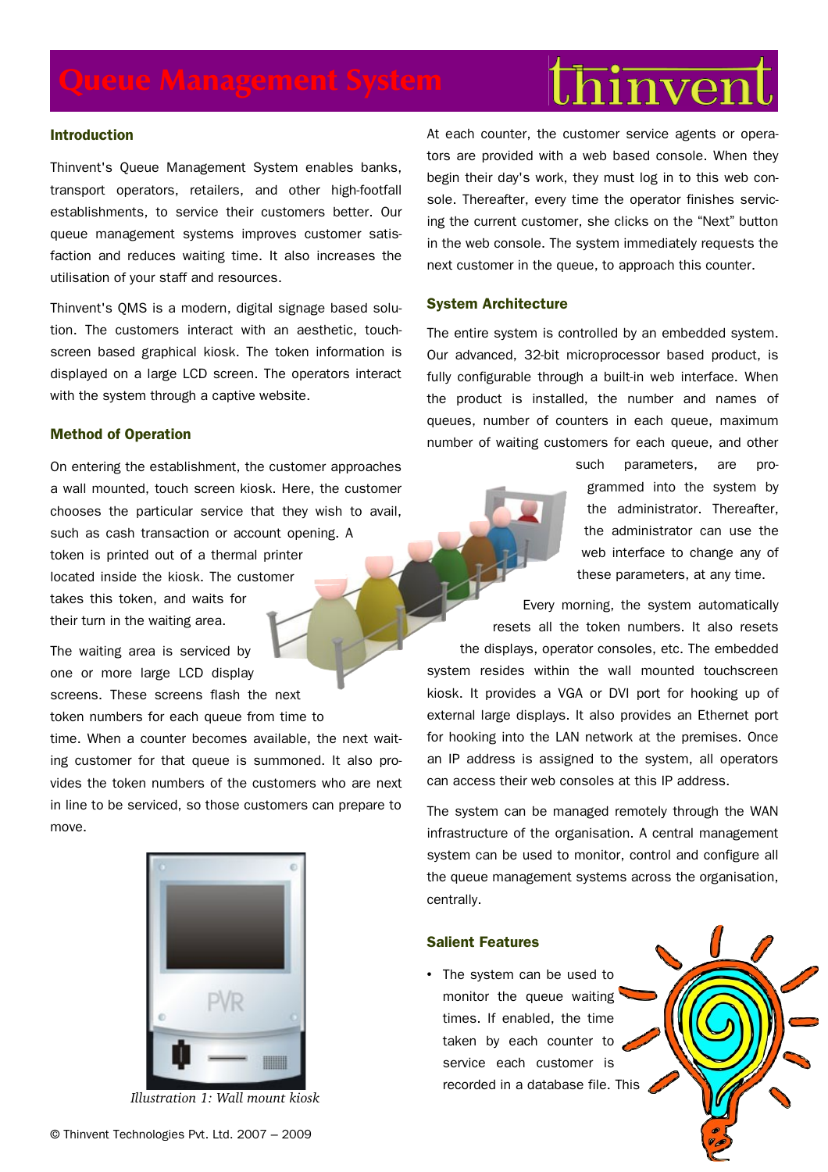# hinven

### **Introduction**

Thinvent's Queue Management System enables banks, transport operators, retailers, and other high-footfall establishments, to service their customers better. Our queue management systems improves customer satisfaction and reduces waiting time. It also increases the utilisation of your staff and resources.

Thinvent's QMS is a modern, digital signage based solution. The customers interact with an aesthetic, touchscreen based graphical kiosk. The token information is displayed on a large LCD screen. The operators interact with the system through a captive website.

# **Method of Operation**

On entering the establishment, the customer approaches a wall mounted, touch screen kiosk. Here, the customer chooses the particular service that they wish to avail, such as cash transaction or account opening. A token is printed out of a thermal printer located inside the kiosk. The customer takes this token, and waits for their turn in the waiting area.

The waiting area is serviced by one or more large LCD display screens. These screens flash the next token numbers for each queue from time to

time. When a counter becomes available, the next waiting customer for that queue is summoned. It also provides the token numbers of the customers who are next in line to be serviced, so those customers can prepare to move.



*Illustration 1: Wall mount kiosk*

At each counter, the customer service agents or operators are provided with a web based console. When they begin their day's work, they must log in to this web console. Thereafter, every time the operator finishes servicing the current customer, she clicks on the "Next" button in the web console. The system immediately requests the next customer in the queue, to approach this counter.

#### **System Architecture**

The entire system is controlled by an embedded system. Our advanced, 32-bit microprocessor based product, is fully configurable through a built-in web interface. When the product is installed, the number and names of queues, number of counters in each queue, maximum number of waiting customers for each queue, and other

> such parameters, are programmed into the system by the administrator. Thereafter, the administrator can use the web interface to change any of these parameters, at any time.

Every morning, the system automatically resets all the token numbers. It also resets the displays, operator consoles, etc. The embedded system resides within the wall mounted touchscreen kiosk. It provides a VGA or DVI port for hooking up of external large displays. It also provides an Ethernet port for hooking into the LAN network at the premises. Once an IP address is assigned to the system, all operators can access their web consoles at this IP address.

The system can be managed remotely through the WAN infrastructure of the organisation. A central management system can be used to monitor, control and configure all the queue management systems across the organisation, centrally.

# **Salient Features**

• The system can be used to monitor the queue waiting times. If enabled, the time taken by each counter to service each customer is recorded in a database file. This